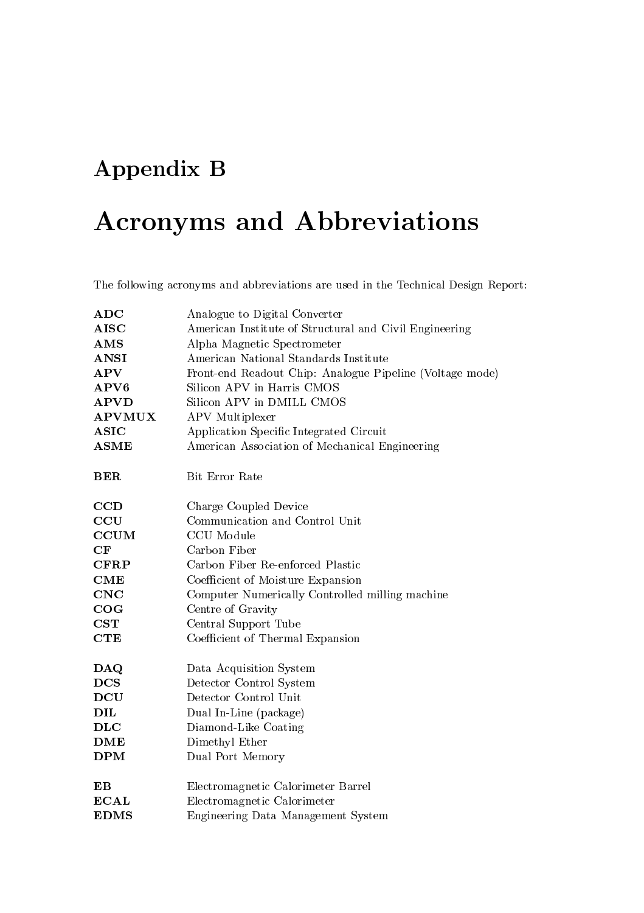## Appendix B

## Acronyms and Abbreviations

The following acronyms and abbreviations are used in the Technical Design Report:

| ADC                              | Analogue to Digital Converter                            |  |
|----------------------------------|----------------------------------------------------------|--|
| <b>AISC</b>                      | American Institute of Structural and Civil Engineering   |  |
| $\mathbf{AMS}$                   | Alpha Magnetic Spectrometer                              |  |
| <b>ANSI</b>                      | American National Standards Institute                    |  |
| APV                              | Front-end Readout Chip: Analogue Pipeline (Voltage mode) |  |
| APV6                             | Silicon APV in Harris CMOS                               |  |
| <b>APVD</b>                      | Silicon APV in DMILL CMOS                                |  |
| <b>APVMUX</b>                    | APV Multiplexer                                          |  |
| <b>ASIC</b>                      | Application Specific Integrated Circuit                  |  |
| <b>ASME</b>                      | American Association of Mechanical Engineering           |  |
| <b>BER</b>                       | Bit Error Rate                                           |  |
| CCD                              | Charge Coupled Device                                    |  |
| CCU                              | Communication and Control Unit                           |  |
| <b>CCUM</b>                      | CCU Module                                               |  |
| CF                               | Carbon Fiber                                             |  |
| <b>CFRP</b>                      | Carbon Fiber Re-enforced Plastic                         |  |
| CME                              | Coefficient of Moisture Expansion                        |  |
| CNC                              | Computer Numerically Controlled milling machine          |  |
| COG                              | Centre of Gravity                                        |  |
| <b>CST</b>                       | Central Support Tube                                     |  |
| <b>CTE</b>                       | Coefficient of Thermal Expansion                         |  |
| $\mathbf{D}\mathbf{A}\mathbf{Q}$ | Data Acquisition System                                  |  |
| <b>DCS</b>                       | Detector Control System                                  |  |
| <b>DCU</b>                       | Detector Control Unit                                    |  |
| DIL                              | Dual In-Line (package)                                   |  |
| $\bf DLC$                        | Diamond-Like Coating                                     |  |
| DME                              | Dimethyl Ether                                           |  |
| <b>DPM</b>                       | Dual Port Memory                                         |  |
| $\mathbf{E}\mathbf{B}$           | Electromagnetic Calorimeter Barrel                       |  |
| <b>ECAL</b>                      | Electromagnetic Calorimeter                              |  |
| <b>EDMS</b>                      | Engineering Data Management System                       |  |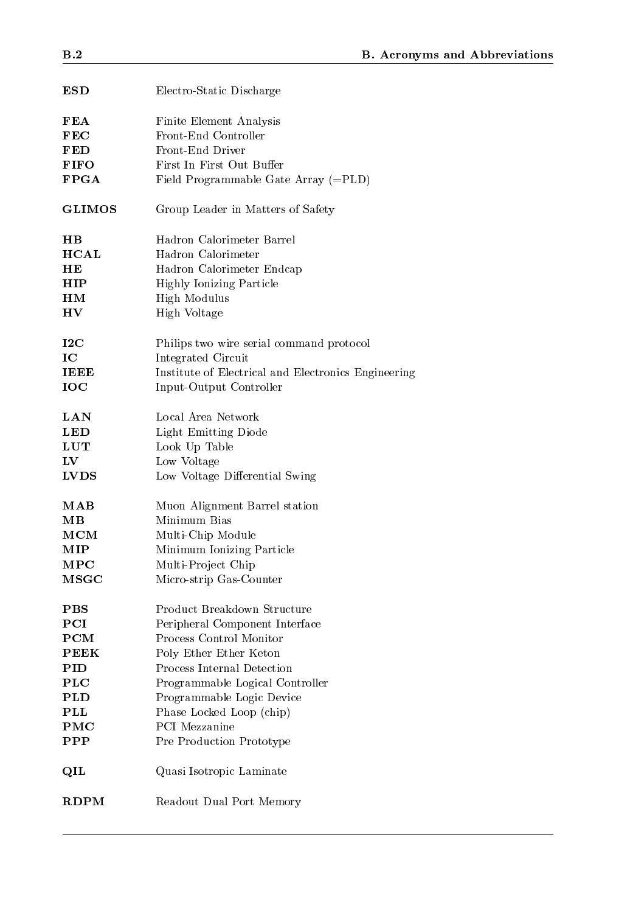| <b>ESD</b>             | Electro-Static Discharge                            |
|------------------------|-----------------------------------------------------|
| <b>FEA</b>             | <b>Finite Element Analysis</b>                      |
| FEC                    | Front-End Controller                                |
| FED                    | Front-End Driver                                    |
| <b>FIFO</b>            | First In First Out Buffer                           |
| $\bf FPGA$             | Field Programmable Gate Array (=PLD)                |
|                        |                                                     |
| <b>GLIMOS</b>          | Group Leader in Matters of Safety                   |
| $_{\rm HB}$            | Hadron Calorimeter Barrel                           |
| <b>HCAL</b>            | Hadron Calorimeter                                  |
| HЕ                     | Hadron Calorimeter Endcap                           |
| HIP                    | <b>Highly Ionizing Particle</b>                     |
| HM                     | High Modulus                                        |
| ${\bf H}{\bf V}$       | High Voltage                                        |
|                        |                                                     |
| $12\mathrm{C}$         | Philips two wire serial command protocol            |
| IC                     | Integrated Circuit                                  |
| <b>IEEE</b>            | Institute of Electrical and Electronics Engineering |
| <b>IOC</b>             | Input-Output Controller                             |
|                        |                                                     |
| <b>LAN</b>             | Local Area Network                                  |
| <b>LED</b>             | Light Emitting Diode                                |
| LUT                    | Look Up Table                                       |
| $\mathbf{L}\mathbf{V}$ | Low Voltage                                         |
| <b>LVDS</b>            | Low Voltage Differential Swing                      |
|                        |                                                     |
| $\bf{M} \bf{A} \bf{B}$ | Muon Alignment Barrel station                       |
| $\mathbf{M}\mathbf{B}$ | Minimum Bias                                        |
| $_{\rm MCM}$           | Multi-Chip Module                                   |
| MIP                    | Minimum Ionizing Particle                           |
| ${\bf MPC}$            | Multi-Project Chip                                  |
| $_{\rm{MSGC}}$         | Micro-strip Gas-Counter                             |
|                        |                                                     |
| <b>PBS</b>             | Product Breakdown Structure                         |
| PCI                    | Peripheral Component Interface                      |
| PCM                    | Process Control Monitor                             |
| <b>PEEK</b>            | Poly Ether Ether Keton                              |
| PID                    | Process Internal Detection                          |
| PLC                    | Programmable Logical Controller                     |
| <b>PLD</b>             | Programmable Logic Device                           |
| <b>PLL</b>             | Phase Locked Loop (chip)                            |
| PMC                    | <b>PCI</b> Mezzanine                                |
| <b>PPP</b>             | Pre Production Prototype                            |
| $\mathbf{QIL}$         | Quasi Isotropic Laminate                            |
| <b>RDPM</b>            | Readout Dual Port Memory                            |